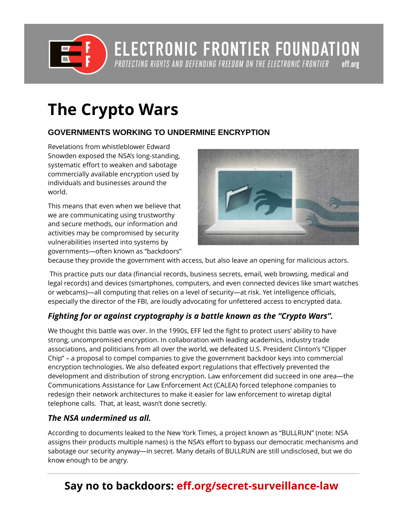

## **ELECTRONIC FRONTIER FOUNDATION**

PROTECTING RIGHTS AND DEFENDING FREEDOM ON THE ELECTRONIC FRONTIER eff.org

# **The Crypto Wars**

### **GOVERNMENTS WORKING TO UNDERMINE ENCRYPTION**

Revelations from whistleblower Edward Snowden exposed the NSA's long-standing, systematic effort to weaken and sabotage commercially available encryption used by individuals and businesses around the world.

This means that even when we believe that we are communicating using trustworthy and secure methods, our information and activities may be compromised by security vulnerabilities inserted into systems by governments—often known as "backdoors"



because they provide the government with access, but also leave an opening for malicious actors.

 This practice puts our data (financial records, business secrets, email, web browsing, medical and legal records) and devices (smartphones, computers, and even connected devices like smart watches or webcams)—all computing that relies on a level of security—at risk. Yet intelligence officials, especially the director of the FBI, are loudly advocating for unfettered access to encrypted data.

### *Fighting for or against cryptography is a battle known as the "Crypto Wars".*

We thought this battle was over. In the 1990s, EFF led the fight to protect users' ability to have strong, uncompromised encryption. In collaboration with leading academics, industry trade associations, and politicians from all over the world, we defeated U.S. President Clinton's "Clipper Chip" – a proposal to compel companies to give the government backdoor keys into commercial encryption technologies. We also defeated export regulations that effectively prevented the development and distribution of strong encryption. Law enforcement did succeed in one area—the Communications Assistance for Law Enforcement Act (CALEA) forced telephone companies to redesign their network architectures to make it easier for law enforcement to wiretap digital telephone calls. That, at least, wasn't done secretly.

### *The NSA undermined us all.*

According to documents leaked to the New York Times, a project known as "BULLRUN" (note: NSA assigns their products multiple names) is the NSA's effort to bypass our democratic mechanisms and sabotage our security anyway—in secret. Many details of BULLRUN are still undisclosed, but we do know enough to be angry.

### **Say no to backdoors: eff.org/secret-surveillance-law**